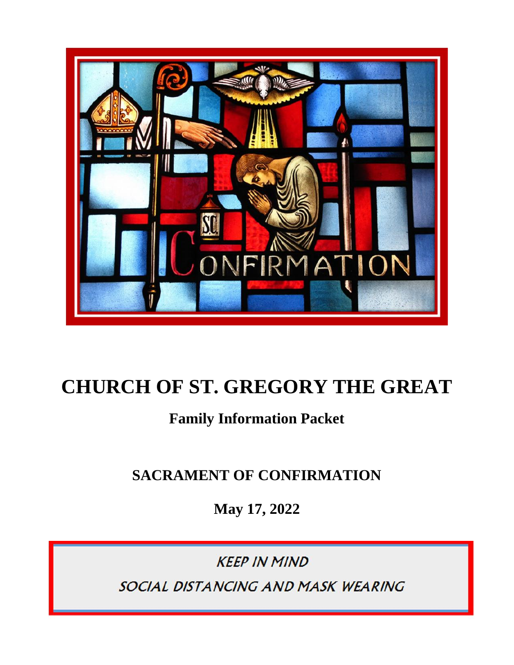

## **CHURCH OF ST. GREGORY THE GREAT**

### **Family Information Packet**

**SACRAMENT OF CONFIRMATION**

**May 17, 2022**

**KEEP IN MIND** 

SOCIAL DISTANCING AND MASK WEARING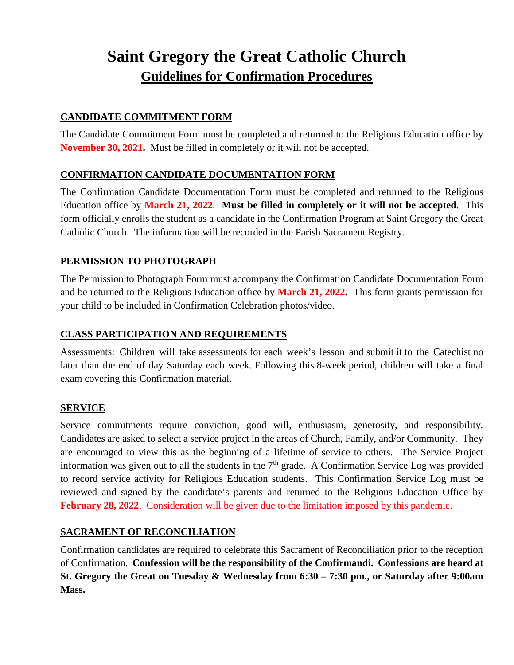### **Saint Gregory the Great Catholic Church Guidelines for Confirmation Procedures**

#### **CANDIDATE COMMITMENT FORM**

The Candidate Commitment Form must be completed and returned to the Religious Education office by **November 30, 2021.** Must be filled in completely or it will not be accepted.

#### **CONFIRMATION CANDIDATE DOCUMENTATION FORM**

The Confirmation Candidate Documentation Form must be completed and returned to the Religious Education office by **March 21, 2022**. **Must be filled in completely or it will not be accepted**. This form officially enrolls the student as a candidate in the Confirmation Program at Saint Gregory the Great Catholic Church. The information will be recorded in the Parish Sacrament Registry.

#### **PERMISSION TO PHOTOGRAPH**

The Permission to Photograph Form must accompany the Confirmation Candidate Documentation Form and be returned to the Religious Education office by **March 21, 2022.** This form grants permission for your child to be included in Confirmation Celebration photos/video.

### **CLASS PARTICIPATION AND REQUIREMENTS**

Assessments: Children will take assessments for each week's lesson and submit it to the Catechist no later than the end of day Saturday each week. Following this 8-week period, children will take a final exam covering this Confirmation material.

#### **SERVICE**

Service commitments require conviction, good will, enthusiasm, generosity, and responsibility. Candidates are asked to select a service project in the areas of Church, Family, and/or Community. They are encouraged to view this as the beginning of a lifetime of service to others. The Service Project information was given out to all the students in the  $7<sup>th</sup>$  grade. A Confirmation Service Log was provided to record service activity for Religious Education students. This Confirmation Service Log must be reviewed and signed by the candidate's parents and returned to the Religious Education Office by **February 28, 2022**. Consideration will be given due to the limitation imposed by this pandemic.

#### **SACRAMENT OF RECONCILIATION**

Confirmation candidates are required to celebrate this Sacrament of Reconciliation prior to the reception of Confirmation. **Confession will be the responsibility of the Confirmandi. Confessions are heard at St. Gregory the Great on Tuesday & Wednesday from 6:30 – 7:30 pm., or Saturday after 9:00am Mass.**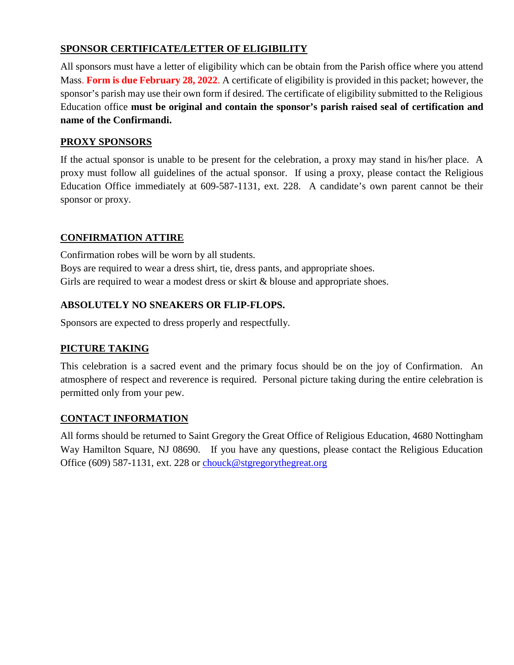### **SPONSOR CERTIFICATE/LETTER OF ELIGIBILITY**

All sponsors must have a letter of eligibility which can be obtain from the Parish office where you attend Mass. **Form is due February 28, 2022**. A certificate of eligibility is provided in this packet; however, the sponsor's parish may use their own form if desired. The certificate of eligibility submitted to the Religious Education office **must be original and contain the sponsor's parish raised seal of certification and name of the Confirmandi.**

#### **PROXY SPONSORS**

If the actual sponsor is unable to be present for the celebration, a proxy may stand in his/her place. A proxy must follow all guidelines of the actual sponsor. If using a proxy, please contact the Religious Education Office immediately at 609-587-1131, ext. 228. A candidate's own parent cannot be their sponsor or proxy.

### **CONFIRMATION ATTIRE**

Confirmation robes will be worn by all students. Boys are required to wear a dress shirt, tie, dress pants, and appropriate shoes. Girls are required to wear a modest dress or skirt & blouse and appropriate shoes.

### **ABSOLUTELY NO SNEAKERS OR FLIP-FLOPS.**

Sponsors are expected to dress properly and respectfully.

### **PICTURE TAKING**

This celebration is a sacred event and the primary focus should be on the joy of Confirmation. An atmosphere of respect and reverence is required. Personal picture taking during the entire celebration is permitted only from your pew.

### **CONTACT INFORMATION**

All forms should be returned to Saint Gregory the Great Office of Religious Education, 4680 Nottingham Way Hamilton Square, NJ 08690. If you have any questions, please contact the Religious Education Office (609) 587-1131, ext. 228 or chouck@stgregorythegreat.org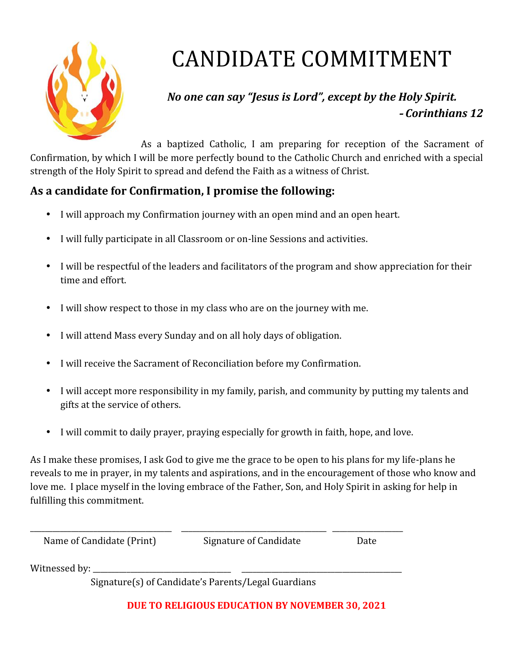

# CANDIDATE COMMITMENT

### *No one can say "Jesus is Lord", except by the Holy Spirit. - Corinthians 12*

As a baptized Catholic, I am preparing for reception of the Sacrament of Confirmation, by which I will be more perfectly bound to the Catholic Church and enriched with a special strength of the Holy Spirit to spread and defend the Faith as a witness of Christ.

### **As a candidate for Confirmation, I promise the following:**

- I will approach my Confirmation journey with an open mind and an open heart.
- I will fully participate in all Classroom or on-line Sessions and activities.
- I will be respectful of the leaders and facilitators of the program and show appreciation for their time and effort.
- I will show respect to those in my class who are on the journey with me.
- I will attend Mass every Sunday and on all holy days of obligation.
- I will receive the Sacrament of Reconciliation before my Confirmation.
- I will accept more responsibility in my family, parish, and community by putting my talents and gifts at the service of others.
- I will commit to daily prayer, praying especially for growth in faith, hope, and love.

As I make these promises, I ask God to give me the grace to be open to his plans for my life-plans he reveals to me in prayer, in my talents and aspirations, and in the encouragement of those who know and love me. I place myself in the loving embrace of the Father, Son, and Holy Spirit in asking for help in fulfilling this commitment.

Name of Candidate (Print) Signature of Candidate Date

\_\_\_\_\_\_\_\_\_\_\_\_\_\_\_\_\_\_\_\_\_\_\_\_\_\_\_\_\_\_\_\_\_\_\_\_\_\_ \_\_\_\_\_\_\_\_\_\_\_\_\_\_\_\_\_\_\_\_\_\_\_\_\_\_\_\_\_\_\_\_\_\_\_\_\_\_\_ \_\_\_\_\_\_\_\_\_\_\_\_\_\_\_\_\_\_\_

Witnessed by:

Signature(s) of Candidate's Parents/Legal Guardians

**DUE TO RELIGIOUS EDUCATION BY NOVEMBER 30, 2021**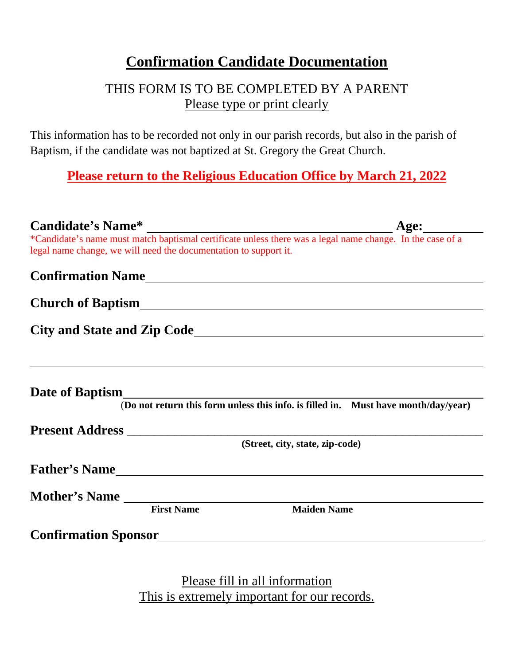### **Confirmation Candidate Documentation**

### THIS FORM IS TO BE COMPLETED BY A PARENT Please type or print clearly

This information has to be recorded not only in our parish records, but also in the parish of Baptism, if the candidate was not baptized at St. Gregory the Great Church.

### **Please return to the Religious Education Office by March 21, 2022**

|                                                                  | Candidate's Name*<br>*Candidate's name must match baptismal certificate unless there was a legal name change. In the case of a |
|------------------------------------------------------------------|--------------------------------------------------------------------------------------------------------------------------------|
| legal name change, we will need the documentation to support it. |                                                                                                                                |
|                                                                  | <b>Confirmation Name</b>                                                                                                       |
|                                                                  |                                                                                                                                |
|                                                                  |                                                                                                                                |
|                                                                  |                                                                                                                                |
|                                                                  |                                                                                                                                |
| Date of Baptism                                                  | 1<br>(Do not return this form unless this info. is filled in. Must have month/day/year)                                        |
|                                                                  |                                                                                                                                |
|                                                                  |                                                                                                                                |
|                                                                  | (Street, city, state, zip-code)                                                                                                |
|                                                                  | Father's Name                                                                                                                  |
|                                                                  |                                                                                                                                |
| Mother's Name<br>First Name<br>Maiden Name<br>Maiden Name        |                                                                                                                                |

Please fill in all information This is extremely important for our records.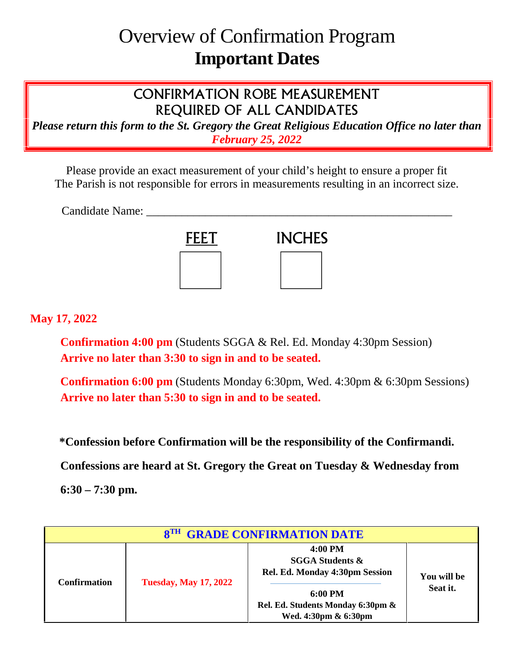### Overview of Confirmation Program **Important Dates**

### CONFIRMATION ROBE MEASUREMENT REQUIRED OF ALL CANDIDATES

*Please return this form to the St. Gregory the Great Religious Education Office no later than February 25, 2022*

Please provide an exact measurement of your child's height to ensure a proper fit The Parish is not responsible for errors in measurements resulting in an incorrect size.

Candidate Name: \_\_\_\_\_\_\_\_\_\_\_\_\_\_\_\_\_\_\_\_\_\_\_\_\_\_\_\_\_\_\_\_\_\_\_\_\_\_\_\_\_\_\_\_\_\_\_\_\_\_\_\_



### **May 17, 2022**

**Confirmation 4:00 pm** (Students SGGA & Rel. Ed. Monday 4:30pm Session) **Arrive no later than 3:30 to sign in and to be seated.**

**Confirmation 6:00 pm** (Students Monday 6:30pm, Wed. 4:30pm & 6:30pm Sessions) **Arrive no later than 5:30 to sign in and to be seated.**

**\*Confession before Confirmation will be the responsibility of the Confirmandi.**

**Confessions are heard at St. Gregory the Great on Tuesday & Wednesday from**

**6:30 – 7:30 pm.**

| 8 <sup>TH</sup> GRADE CONFIRMATION DATE |                              |                                                                                |             |
|-----------------------------------------|------------------------------|--------------------------------------------------------------------------------|-------------|
| <b>Confirmation</b>                     | <b>Tuesday, May 17, 2022</b> | 4:00 PM<br><b>SGGA Students &amp;</b><br>Rel. Ed. Monday 4:30pm Session        | You will be |
|                                         |                              | $6:00 \text{ PM}$<br>Rel. Ed. Students Monday 6:30pm &<br>Wed. 4:30pm & 6:30pm | Seat it.    |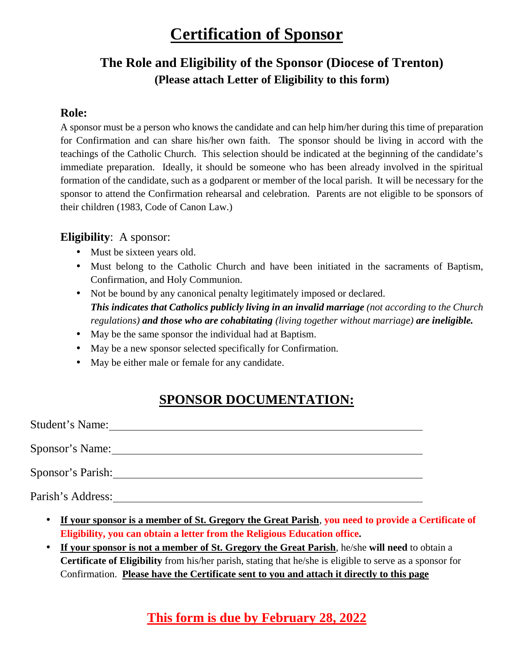### **Certification of Sponsor**

### **The Role and Eligibility of the Sponsor (Diocese of Trenton) (Please attach Letter of Eligibility to this form)**

### **Role:**

A sponsor must be a person who knows the candidate and can help him/her during this time of preparation for Confirmation and can share his/her own faith. The sponsor should be living in accord with the teachings of the Catholic Church. This selection should be indicated at the beginning of the candidate's immediate preparation. Ideally, it should be someone who has been already involved in the spiritual formation of the candidate, such as a godparent or member of the local parish. It will be necessary for the sponsor to attend the Confirmation rehearsal and celebration. Parents are not eligible to be sponsors of their children (1983, Code of Canon Law.)

### **Eligibility**: A sponsor:

- Must be sixteen years old.
- Must belong to the Catholic Church and have been initiated in the sacraments of Baptism, Confirmation, and Holy Communion.
- Not be bound by any canonical penalty legitimately imposed or declared. *This indicates that Catholics publicly living in an invalid marriage (not according to the Church regulations) and those who are cohabitating (living together without marriage) are ineligible.*
- May be the same sponsor the individual had at Baptism.
- May be a new sponsor selected specifically for Confirmation.
- May be either male or female for any candidate.

### **SPONSOR DOCUMENTATION:**

| Student's Name:   |  |
|-------------------|--|
| Sponsor's Name:   |  |
| Sponsor's Parish: |  |
| Parish's Address: |  |

- **If your sponsor is a member of St. Gregory the Great Parish**, **you need to provide a Certificate of Eligibility, you can obtain a letter from the Religious Education office.**
- **If your sponsor is not a member of St. Gregory the Great Parish**, he/she **will need** to obtain a **Certificate of Eligibility** from his/her parish, stating that he/she is eligible to serve as a sponsor for Confirmation. **Please have the Certificate sent to you and attach it directly to this page**

### **This form is due by February 28, 2022**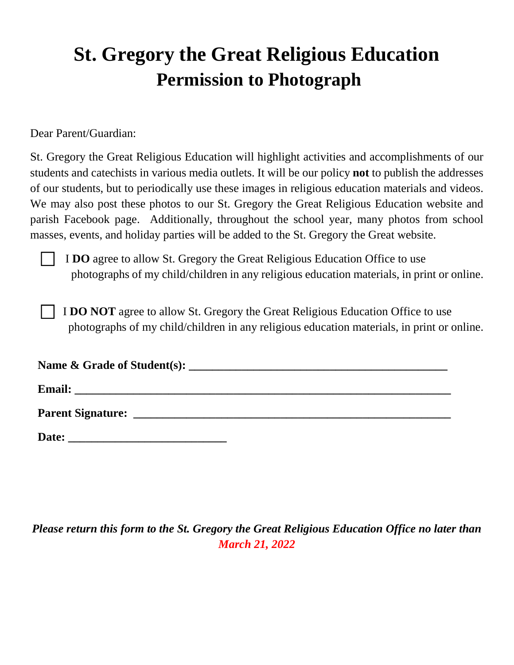# **St. Gregory the Great Religious Education Permission to Photograph**

Dear Parent/Guardian:

St. Gregory the Great Religious Education will highlight activities and accomplishments of our students and catechists in various media outlets. It will be our policy **not** to publish the addresses of our students, but to periodically use these images in religious education materials and videos. We may also post these photos to our St. Gregory the Great Religious Education website and parish Facebook page. Additionally, throughout the school year, many photos from school masses, events, and holiday parties will be added to the St. Gregory the Great website.

I **DO** agree to allow St. Gregory the Great Religious Education Office to use photographs of my child/children in any religious education materials, in print or online.

I **DO NOT** agree to allow St. Gregory the Great Religious Education Office to use photographs of my child/children in any religious education materials, in print or online.

| <b>Email:</b>            |  |
|--------------------------|--|
| <b>Parent Signature:</b> |  |

| Da<br>ıte' |  |
|------------|--|
|            |  |

### *Please return this form to the St. Gregory the Great Religious Education Office no later than March 21, 2022*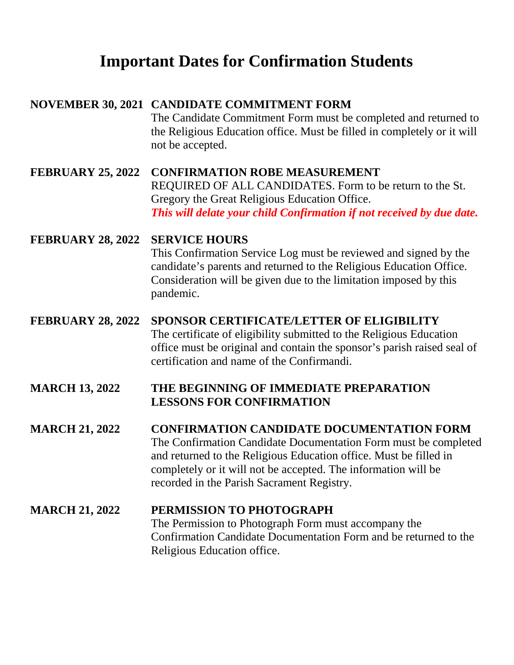### **Important Dates for Confirmation Students**

### **NOVEMBER 30, 2021 CANDIDATE COMMITMENT FORM** The Candidate Commitment Form must be completed and returned to the Religious Education office. Must be filled in completely or it will not be accepted.

**FEBRUARY 25, 2022 CONFIRMATION ROBE MEASUREMENT** REQUIRED OF ALL CANDIDATES. Form to be return to the St. Gregory the Great Religious Education Office. *This will delate your child Confirmation if not received by due date.*

### **FEBRUARY 28, 2022 SERVICE HOURS**

This Confirmation Service Log must be reviewed and signed by the candidate's parents and returned to the Religious Education Office. Consideration will be given due to the limitation imposed by this pandemic.

### **FEBRUARY 28, 2022 SPONSOR CERTIFICATE/LETTER OF ELIGIBILITY**

The certificate of eligibility submitted to the Religious Education office must be original and contain the sponsor's parish raised seal of certification and name of the Confirmandi.

### **MARCH 13, 2022 THE BEGINNING OF IMMEDIATE PREPARATION LESSONS FOR CONFIRMATION**

### **MARCH 21, 2022 CONFIRMATION CANDIDATE DOCUMENTATION FORM** The Confirmation Candidate Documentation Form must be completed and returned to the Religious Education office. Must be filled in completely or it will not be accepted. The information will be recorded in the Parish Sacrament Registry.

### **MARCH 21, 2022 PERMISSION TO PHOTOGRAPH** The Permission to Photograph Form must accompany the Confirmation Candidate Documentation Form and be returned to the Religious Education office.